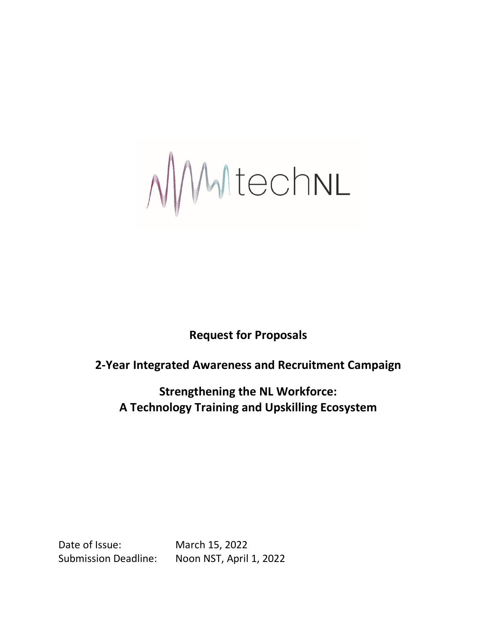NMtechnl

**Request for Proposals** 

# **2-Year Integrated Awareness and Recruitment Campaign**

**Strengthening the NL Workforce: A Technology Training and Upskilling Ecosystem**

Date of Issue: March 15, 2022

Submission Deadline: Noon NST, April 1, 2022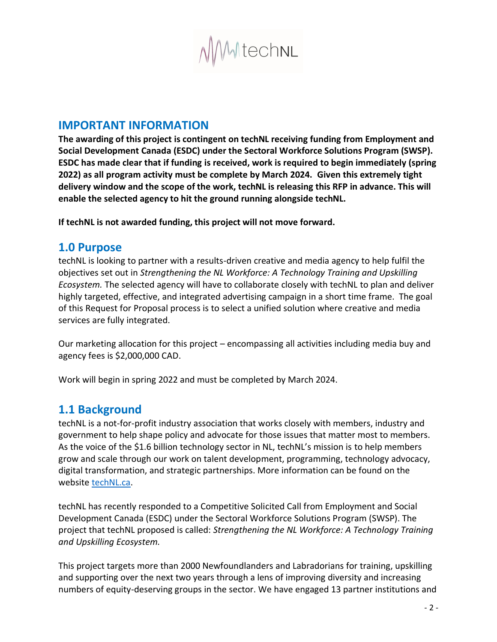

# **IMPORTANT INFORMATION**

**The awarding of this project is contingent on techNL receiving funding from Employment and Social Development Canada (ESDC) under the Sectoral Workforce Solutions Program (SWSP). ESDC has made clear that if funding is received, work is required to begin immediately (spring 2022) as all program activity must be complete by March 2024. Given this extremely tight delivery window and the scope of the work, techNL is releasing this RFP in advance. This will enable the selected agency to hit the ground running alongside techNL.** 

**If techNL is not awarded funding, this project will not move forward.**

## **1.0 Purpose**

techNL is looking to partner with a results-driven creative and media agency to help fulfil the objectives set out in *Strengthening the NL Workforce: A Technology Training and Upskilling Ecosystem.* The selected agency will have to collaborate closely with techNL to plan and deliver highly targeted, effective, and integrated advertising campaign in a short time frame. The goal of this Request for Proposal process is to select a unified solution where creative and media services are fully integrated.

Our marketing allocation for this project – encompassing all activities including media buy and agency fees is \$2,000,000 CAD.

Work will begin in spring 2022 and must be completed by March 2024.

## **1.1 Background**

techNL is a not-for-profit industry association that works closely with members, industry and government to help shape policy and advocate for those issues that matter most to members. As the voice of the \$1.6 billion technology sector in NL, techNL's mission is to help members grow and scale through our work on talent development, programming, technology advocacy, digital transformation, and strategic partnerships. More information can be found on the website [techNL.ca.](https://www.technl.ca/)

techNL has recently responded to a Competitive Solicited Call from Employment and Social Development Canada (ESDC) under the Sectoral Workforce Solutions Program (SWSP). The project that techNL proposed is called: *Strengthening the NL Workforce: A Technology Training and Upskilling Ecosystem.*

This project targets more than 2000 Newfoundlanders and Labradorians for training, upskilling and supporting over the next two years through a lens of improving diversity and increasing numbers of equity-deserving groups in the sector. We have engaged 13 partner institutions and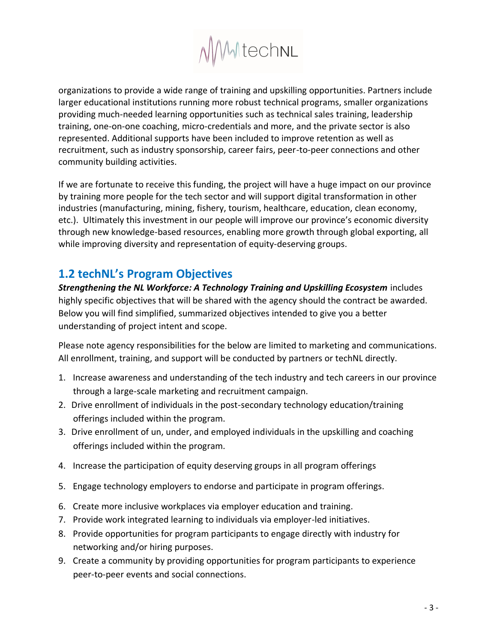

organizations to provide a wide range of training and upskilling opportunities. Partners include larger educational institutions running more robust technical programs, smaller organizations providing much-needed learning opportunities such as technical sales training, leadership training, one-on-one coaching, micro-credentials and more, and the private sector is also represented. Additional supports have been included to improve retention as well as recruitment, such as industry sponsorship, career fairs, peer-to-peer connections and other community building activities.

If we are fortunate to receive this funding, the project will have a huge impact on our province by training more people for the tech sector and will support digital transformation in other industries (manufacturing, mining, fishery, tourism, healthcare, education, clean economy, etc.). Ultimately this investment in our people will improve our province's economic diversity through new knowledge-based resources, enabling more growth through global exporting, all while improving diversity and representation of equity-deserving groups.

# **1.2 techNL's Program Objectives**

*Strengthening the NL Workforce: A Technology Training and Upskilling Ecosystem* includes highly specific objectives that will be shared with the agency should the contract be awarded. Below you will find simplified, summarized objectives intended to give you a better understanding of project intent and scope.

Please note agency responsibilities for the below are limited to marketing and communications. All enrollment, training, and support will be conducted by partners or techNL directly.

- 1. Increase awareness and understanding of the tech industry and tech careers in our province through a large-scale marketing and recruitment campaign.
- 2. Drive enrollment of individuals in the post-secondary technology education/training offerings included within the program.
- 3. Drive enrollment of un, under, and employed individuals in the upskilling and coaching offerings included within the program.
- 4. Increase the participation of equity deserving groups in all program offerings
- 5. Engage technology employers to endorse and participate in program offerings.
- 6. Create more inclusive workplaces via employer education and training.
- 7. Provide work integrated learning to individuals via employer-led initiatives.
- 8. Provide opportunities for program participants to engage directly with industry for networking and/or hiring purposes.
- 9. Create a community by providing opportunities for program participants to experience peer-to-peer events and social connections.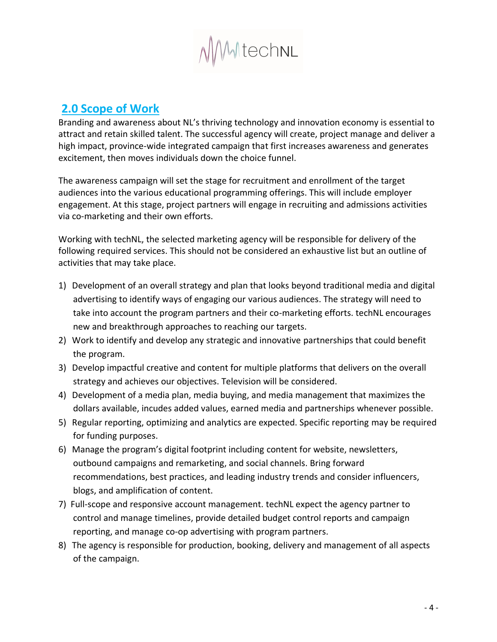

# **2.0 Scope of Work**

Branding and awareness about NL's thriving technology and innovation economy is essential to attract and retain skilled talent. The successful agency will create, project manage and deliver a high impact, province-wide integrated campaign that first increases awareness and generates excitement, then moves individuals down the choice funnel.

The awareness campaign will set the stage for recruitment and enrollment of the target audiences into the various educational programming offerings. This will include employer engagement. At this stage, project partners will engage in recruiting and admissions activities via co-marketing and their own efforts.

Working with techNL, the selected marketing agency will be responsible for delivery of the following required services. This should not be considered an exhaustive list but an outline of activities that may take place.

- 1) Development of an overall strategy and plan that looks beyond traditional media and digital advertising to identify ways of engaging our various audiences. The strategy will need to take into account the program partners and their co-marketing efforts. techNL encourages new and breakthrough approaches to reaching our targets.
- 2) Work to identify and develop any strategic and innovative partnerships that could benefit the program.
- 3) Develop impactful creative and content for multiple platforms that delivers on the overall strategy and achieves our objectives. Television will be considered.
- 4) Development of a media plan, media buying, and media management that maximizes the dollars available, incudes added values, earned media and partnerships whenever possible.
- 5) Regular reporting, optimizing and analytics are expected. Specific reporting may be required for funding purposes.
- 6) Manage the program's digital footprint including content for website, newsletters, outbound campaigns and remarketing, and social channels. Bring forward recommendations, best practices, and leading industry trends and consider influencers, blogs, and amplification of content.
- 7) Full-scope and responsive account management. techNL expect the agency partner to control and manage timelines, provide detailed budget control reports and campaign reporting, and manage co-op advertising with program partners.
- 8) The agency is responsible for production, booking, delivery and management of all aspects of the campaign.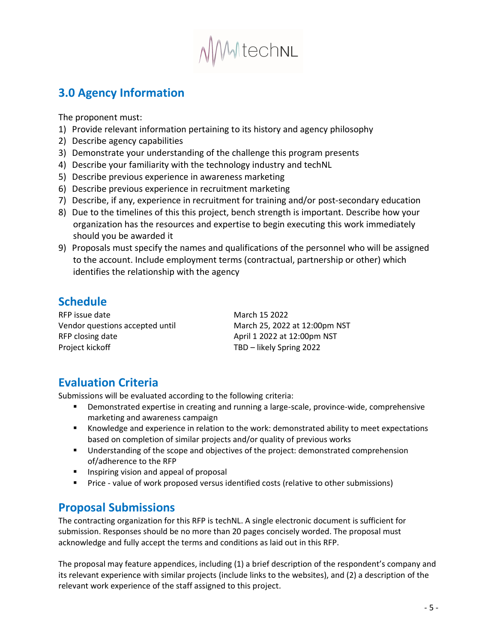

# **3.0 Agency Information**

The proponent must:

- 1) Provide relevant information pertaining to its history and agency philosophy
- 2) Describe agency capabilities
- 3) Demonstrate your understanding of the challenge this program presents
- 4) Describe your familiarity with the technology industry and techNL
- 5) Describe previous experience in awareness marketing
- 6) Describe previous experience in recruitment marketing
- 7) Describe, if any, experience in recruitment for training and/or post-secondary education
- 8) Due to the timelines of this this project, bench strength is important. Describe how your organization has the resources and expertise to begin executing this work immediately should you be awarded it
- 9) Proposals must specify the names and qualifications of the personnel who will be assigned to the account. Include employment terms (contractual, partnership or other) which identifies the relationship with the agency

# **Schedule**

RFP issue date March 15 2022 Vendor questions accepted until March 25, 2022 at 12:00pm NST RFP closing date April 1 2022 at 12:00pm NST Project kickoff TBD – likely Spring 2022

# **Evaluation Criteria**

Submissions will be evaluated according to the following criteria:

- Demonstrated expertise in creating and running a large-scale, province-wide, comprehensive marketing and awareness campaign
- Knowledge and experience in relation to the work: demonstrated ability to meet expectations based on completion of similar projects and/or quality of previous works
- Understanding of the scope and objectives of the project: demonstrated comprehension of/adherence to the RFP
- Inspiring vision and appeal of proposal
- **•** Price value of work proposed versus identified costs (relative to other submissions)

# **Proposal Submissions**

The contracting organization for this RFP is techNL. A single electronic document is sufficient for submission. Responses should be no more than 20 pages concisely worded. The proposal must acknowledge and fully accept the terms and conditions as laid out in this RFP.

The proposal may feature appendices, including (1) a brief description of the respondent's company and its relevant experience with similar projects (include links to the websites), and (2) a description of the relevant work experience of the staff assigned to this project.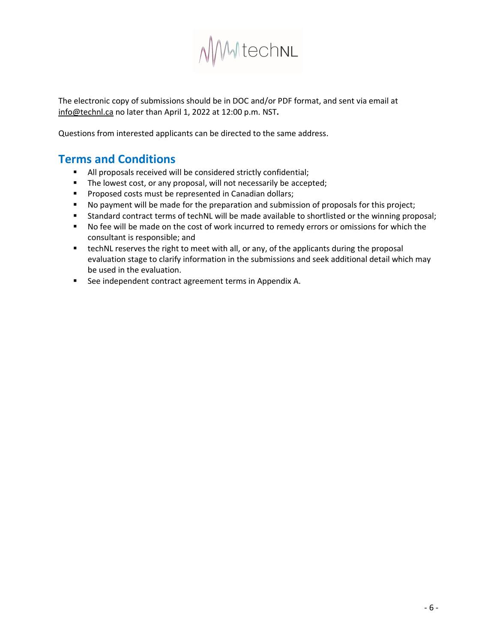

The electronic copy of submissions should be in DOC and/or PDF format, and sent via email at info@technl.ca no later than April 1, 2022 at 12:00 p.m. NST**.**

Questions from interested applicants can be directed to the same address.

# **Terms and Conditions**

- All proposals received will be considered strictly confidential;
- The lowest cost, or any proposal, will not necessarily be accepted;
- Proposed costs must be represented in Canadian dollars;
- No payment will be made for the preparation and submission of proposals for this project;
- Standard contract terms of techNL will be made available to shortlisted or the winning proposal;
- No fee will be made on the cost of work incurred to remedy errors or omissions for which the consultant is responsible; and
- **•** techNL reserves the right to meet with all, or any, of the applicants during the proposal evaluation stage to clarify information in the submissions and seek additional detail which may be used in the evaluation.
- See independent contract agreement terms in Appendix A.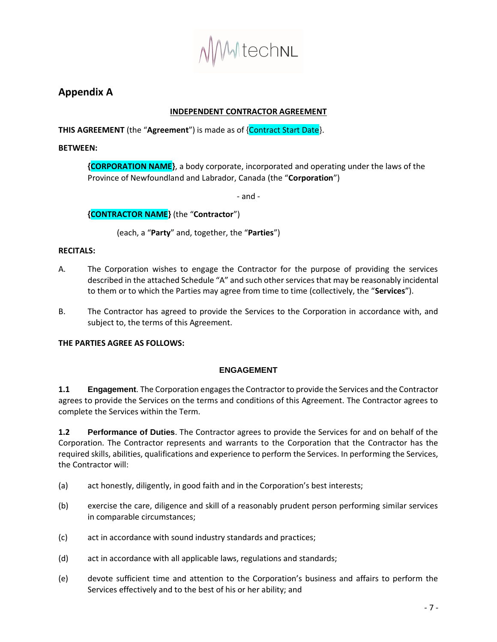

## **Appendix A**

## **INDEPENDENT CONTRACTOR AGREEMENT**

**THIS AGREEMENT** (the "**Agreement**") is made as of {Contract Start Date}.

### **BETWEEN:**

**{CORPORATION NAME}**, a body corporate, incorporated and operating under the laws of the Province of Newfoundland and Labrador, Canada (the "**Corporation**")

- and -

### **{CONTRACTOR NAME}** (the "**Contractor**")

(each, a "**Party**" and, together, the "**Parties**")

### **RECITALS:**

- A. The Corporation wishes to engage the Contractor for the purpose of providing the services described in the attached [Schedule "A"](#page-12-0) and such other services that may be reasonably incidental to them or to which the Parties may agree from time to time (collectively, the "**Services**").
- B. The Contractor has agreed to provide the Services to the Corporation in accordance with, and subject to, the terms of this Agreement.

### **THE PARTIES AGREE AS FOLLOWS:**

### **ENGAGEMENT**

**1.1 Engagement**. The Corporation engages the Contractor to provide the Services and the Contractor agrees to provide the Services on the terms and conditions of this Agreement. The Contractor agrees to complete the Services within the Term.

**1.2 Performance of Duties**. The Contractor agrees to provide the Services for and on behalf of the Corporation. The Contractor represents and warrants to the Corporation that the Contractor has the required skills, abilities, qualifications and experience to perform the Services. In performing the Services, the Contractor will:

- (a) act honestly, diligently, in good faith and in the Corporation's best interests;
- (b) exercise the care, diligence and skill of a reasonably prudent person performing similar services in comparable circumstances;
- (c) act in accordance with sound industry standards and practices;
- (d) act in accordance with all applicable laws, regulations and standards;
- (e) devote sufficient time and attention to the Corporation's business and affairs to perform the Services effectively and to the best of his or her ability; and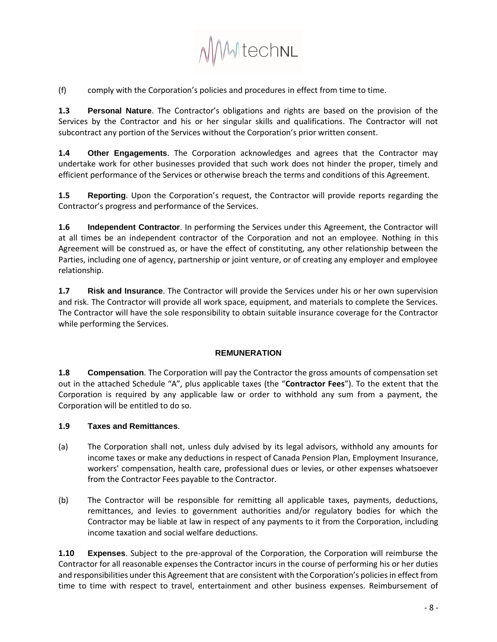

(f) comply with the Corporation's policies and procedures in effect from time to time.

**1.3 Personal Nature**. The Contractor's obligations and rights are based on the provision of the Services by the Contractor and his or her singular skills and qualifications. The Contractor will not subcontract any portion of the Services without the Corporation's prior written consent.

**1.4 Other Engagements**. The Corporation acknowledges and agrees that the Contractor may undertake work for other businesses provided that such work does not hinder the proper, timely and efficient performance of the Services or otherwise breach the terms and conditions of this Agreement.

**1.5 Reporting**. Upon the Corporation's request, the Contractor will provide reports regarding the Contractor's progress and performance of the Services.

**1.6 Independent Contractor**. In performing the Services under this Agreement, the Contractor will at all times be an independent contractor of the Corporation and not an employee. Nothing in this Agreement will be construed as, or have the effect of constituting, any other relationship between the Parties, including one of agency, partnership or joint venture, or of creating any employer and employee relationship.

**1.7 Risk and Insurance**. The Contractor will provide the Services under his or her own supervision and risk. The Contractor will provide all work space, equipment, and materials to complete the Services. The Contractor will have the sole responsibility to obtain suitable insurance coverage for the Contractor while performing the Services.

### **REMUNERATION**

**1.8 Compensation**. The Corporation will pay the Contractor the gross amounts of compensation set out in the attached Schedule "A", plus applicable taxes (the "**Contractor Fees**"). To the extent that the Corporation is required by any applicable law or order to withhold any sum from a payment, the Corporation will be entitled to do so.

### **1.9 Taxes and Remittances**.

- (a) The Corporation shall not, unless duly advised by its legal advisors, withhold any amounts for income taxes or make any deductions in respect of Canada Pension Plan, Employment Insurance, workers' compensation, health care, professional dues or levies, or other expenses whatsoever from the Contractor Fees payable to the Contractor.
- (b) The Contractor will be responsible for remitting all applicable taxes, payments, deductions, remittances, and levies to government authorities and/or regulatory bodies for which the Contractor may be liable at law in respect of any payments to it from the Corporation, including income taxation and social welfare deductions.

<span id="page-7-0"></span>**1.10 Expenses**. Subject to the pre-approval of the Corporation, the Corporation will reimburse the Contractor for all reasonable expenses the Contractor incurs in the course of performing his or her duties and responsibilities under this Agreement that are consistent with the Corporation's policies in effect from time to time with respect to travel, entertainment and other business expenses. Reimbursement of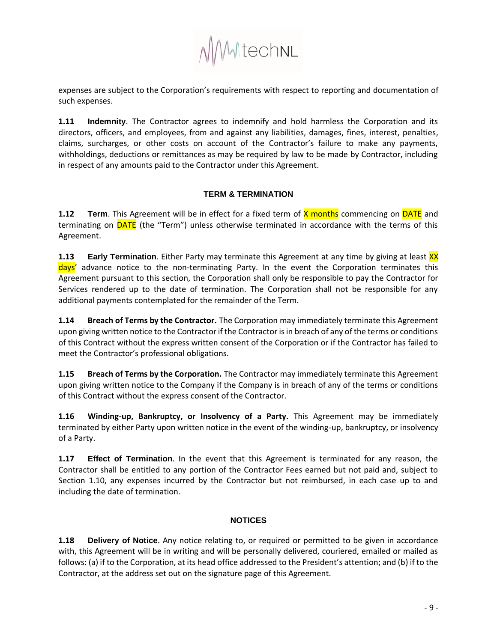

expenses are subject to the Corporation's requirements with respect to reporting and documentation of such expenses.

**1.11 Indemnity**. The Contractor agrees to indemnify and hold harmless the Corporation and its directors, officers, and employees, from and against any liabilities, damages, fines, interest, penalties, claims, surcharges, or other costs on account of the Contractor's failure to make any payments, withholdings, deductions or remittances as may be required by law to be made by Contractor, including in respect of any amounts paid to the Contractor under this Agreement.

### **TERM & TERMINATION**

**1.12 • Term.** This Agreement will be in effect for a fixed term of X months commencing on DATE and terminating on **DATE** (the "Term") unless otherwise terminated in accordance with the terms of this Agreement.

**1.13 <b>Early Termination**. Either Party may terminate this Agreement at any time by giving at least XX days' advance notice to the non-terminating Party. In the event the Corporation terminates this Agreement pursuant to this section, the Corporation shall only be responsible to pay the Contractor for Services rendered up to the date of termination. The Corporation shall not be responsible for any additional payments contemplated for the remainder of the Term.

**1.14 Breach of Terms by the Contractor.** The Corporation may immediately terminate this Agreement upon giving written notice to the Contractor if the Contractor is in breach of any of the terms or conditions of this Contract without the express written consent of the Corporation or if the Contractor has failed to meet the Contractor's professional obligations.

**1.15 Breach of Terms by the Corporation.** The Contractor may immediately terminate this Agreement upon giving written notice to the Company if the Company is in breach of any of the terms or conditions of this Contract without the express consent of the Contractor.

**1.16 Winding-up, Bankruptcy, or Insolvency of a Party.** This Agreement may be immediately terminated by either Party upon written notice in the event of the winding-up, bankruptcy, or insolvency of a Party.

**1.17 Effect of Termination**. In the event that this Agreement is terminated for any reason, the Contractor shall be entitled to any portion of the Contractor Fees earned but not paid and, subject to Section [1.10,](#page-7-0) any expenses incurred by the Contractor but not reimbursed, in each case up to and including the date of termination.

### **NOTICES**

<span id="page-8-1"></span><span id="page-8-0"></span>**1.18 Delivery of Notice**. Any notice relating to, or required or permitted to be given in accordance with, this Agreement will be in writing and will be personally delivered, couriered, emailed or mailed as follows: (a) if to the Corporation, at its head office addressed to the President's attention; and (b) if to the Contractor, at the address set out on the signature page of this Agreement.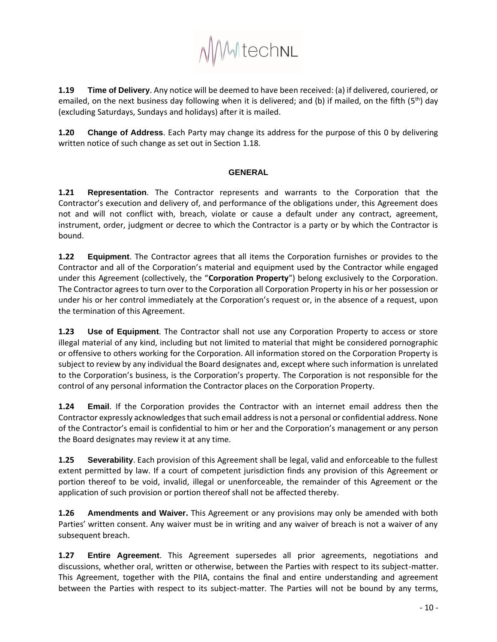MMtechnl

**1.19 Time of Delivery**. Any notice will be deemed to have been received: (a) if delivered, couriered, or emailed, on the next business day following when it is delivered; and (b) if mailed, on the fifth (5<sup>th</sup>) day (excluding Saturdays, Sundays and holidays) after it is mailed.

**1.20 Change of Address**. Each Party may change its address for the purpose of this [0](#page-8-0) by delivering written notice of such change as set out in Section [1.18.](#page-8-1)

### **GENERAL**

**1.21 Representation**. The Contractor represents and warrants to the Corporation that the Contractor's execution and delivery of, and performance of the obligations under, this Agreement does not and will not conflict with, breach, violate or cause a default under any contract, agreement, instrument, order, judgment or decree to which the Contractor is a party or by which the Contractor is bound.

**1.22 Equipment**. The Contractor agrees that all items the Corporation furnishes or provides to the Contractor and all of the Corporation's material and equipment used by the Contractor while engaged under this Agreement (collectively, the "**Corporation Property**") belong exclusively to the Corporation. The Contractor agrees to turn over to the Corporation all Corporation Property in his or her possession or under his or her control immediately at the Corporation's request or, in the absence of a request, upon the termination of this Agreement.

**1.23 Use of Equipment**. The Contractor shall not use any Corporation Property to access or store illegal material of any kind, including but not limited to material that might be considered pornographic or offensive to others working for the Corporation. All information stored on the Corporation Property is subject to review by any individual the Board designates and, except where such information is unrelated to the Corporation's business, is the Corporation's property. The Corporation is not responsible for the control of any personal information the Contractor places on the Corporation Property.

**1.24 Email**. If the Corporation provides the Contractor with an internet email address then the Contractor expressly acknowledges that such email address is not a personal or confidential address. None of the Contractor's email is confidential to him or her and the Corporation's management or any person the Board designates may review it at any time.

**1.25 Severability**. Each provision of this Agreement shall be legal, valid and enforceable to the fullest extent permitted by law. If a court of competent jurisdiction finds any provision of this Agreement or portion thereof to be void, invalid, illegal or unenforceable, the remainder of this Agreement or the application of such provision or portion thereof shall not be affected thereby.

**1.26 Amendments and Waiver.** This Agreement or any provisions may only be amended with both Parties' written consent. Any waiver must be in writing and any waiver of breach is not a waiver of any subsequent breach.

**1.27 Entire Agreement**. This Agreement supersedes all prior agreements, negotiations and discussions, whether oral, written or otherwise, between the Parties with respect to its subject-matter. This Agreement, together with the PIIA, contains the final and entire understanding and agreement between the Parties with respect to its subject-matter. The Parties will not be bound by any terms,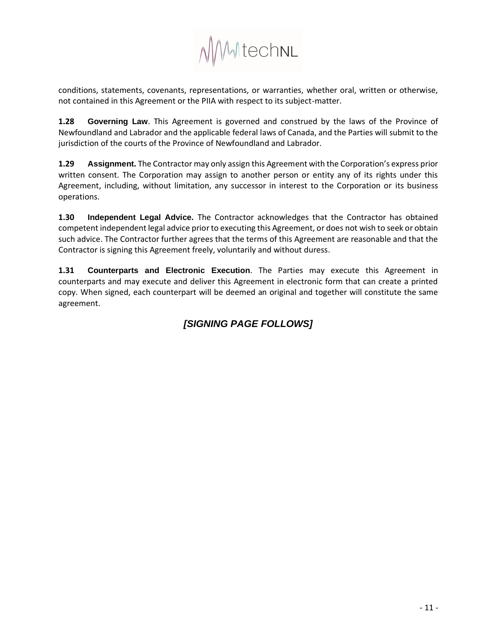

conditions, statements, covenants, representations, or warranties, whether oral, written or otherwise, not contained in this Agreement or the PIIA with respect to its subject-matter.

**1.28 Governing Law**. This Agreement is governed and construed by the laws of the Province of Newfoundland and Labrador and the applicable federal laws of Canada, and the Parties will submit to the jurisdiction of the courts of the Province of Newfoundland and Labrador.

**1.29 Assignment.** The Contractor may only assign this Agreement with the Corporation's express prior written consent. The Corporation may assign to another person or entity any of its rights under this Agreement, including, without limitation, any successor in interest to the Corporation or its business operations.

**1.30 Independent Legal Advice.** The Contractor acknowledges that the Contractor has obtained competent independent legal advice prior to executing this Agreement, or does not wish to seek or obtain such advice. The Contractor further agrees that the terms of this Agreement are reasonable and that the Contractor is signing this Agreement freely, voluntarily and without duress.

**1.31 Counterparts and Electronic Execution**. The Parties may execute this Agreement in counterparts and may execute and deliver this Agreement in electronic form that can create a printed copy. When signed, each counterpart will be deemed an original and together will constitute the same agreement.

## *[SIGNING PAGE FOLLOWS]*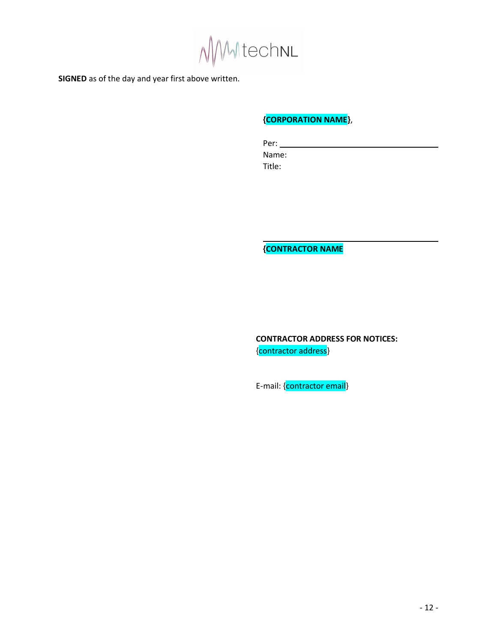MMtechnL

**SIGNED** as of the day and year first above written.

## **{CORPORATION NAME}**,

Per: Name: Title:

**{CONTRACTOR NAME**

**CONTRACTOR ADDRESS FOR NOTICES:** {contractor address}

E-mail: {contractor email}